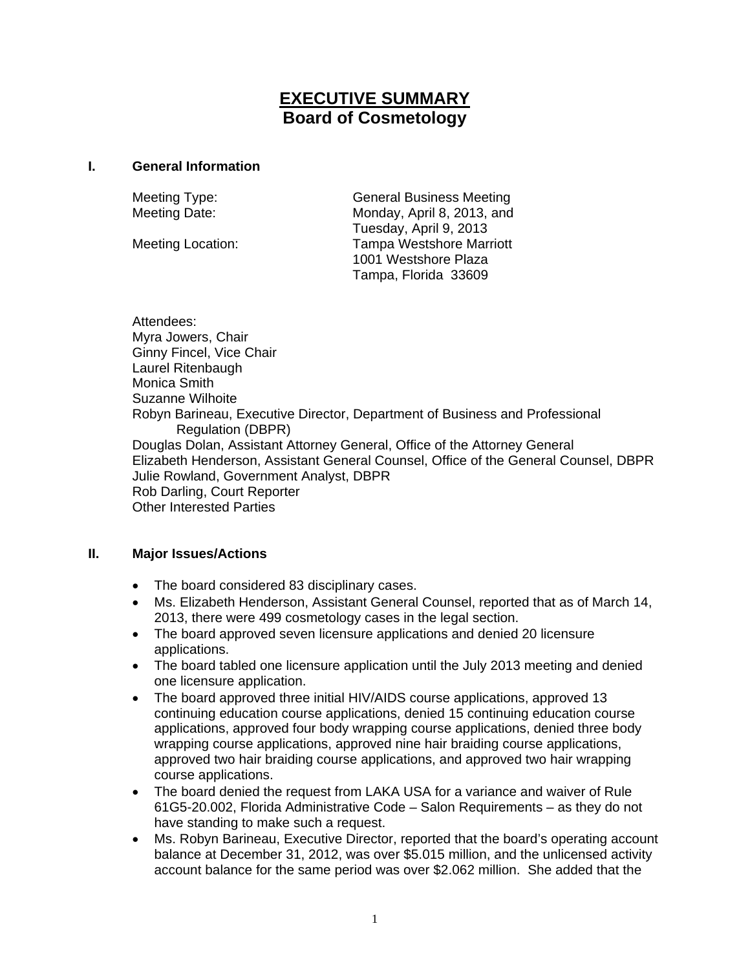# **EXECUTIVE SUMMARY Board of Cosmetology**

#### **I. General Information**

Meeting Type: General Business Meeting Meeting Date: Monday, April 8, 2013, and Tuesday, April 9, 2013 Meeting Location: Tampa Westshore Marriott 1001 Westshore Plaza Tampa, Florida 33609

Attendees: Myra Jowers, Chair Ginny Fincel, Vice Chair Laurel Ritenbaugh Monica Smith Suzanne Wilhoite Robyn Barineau, Executive Director, Department of Business and Professional Regulation (DBPR) Douglas Dolan, Assistant Attorney General, Office of the Attorney General Elizabeth Henderson, Assistant General Counsel, Office of the General Counsel, DBPR Julie Rowland, Government Analyst, DBPR Rob Darling, Court Reporter Other Interested Parties

### **II. Major Issues/Actions**

- The board considered 83 disciplinary cases.
- Ms. Elizabeth Henderson, Assistant General Counsel, reported that as of March 14, 2013, there were 499 cosmetology cases in the legal section.
- The board approved seven licensure applications and denied 20 licensure applications.
- The board tabled one licensure application until the July 2013 meeting and denied one licensure application.
- The board approved three initial HIV/AIDS course applications, approved 13 continuing education course applications, denied 15 continuing education course applications, approved four body wrapping course applications, denied three body wrapping course applications, approved nine hair braiding course applications, approved two hair braiding course applications, and approved two hair wrapping course applications.
- The board denied the request from LAKA USA for a variance and waiver of Rule 61G5-20.002, Florida Administrative Code – Salon Requirements – as they do not have standing to make such a request.
- Ms. Robyn Barineau, Executive Director, reported that the board's operating account balance at December 31, 2012, was over \$5.015 million, and the unlicensed activity account balance for the same period was over \$2.062 million. She added that the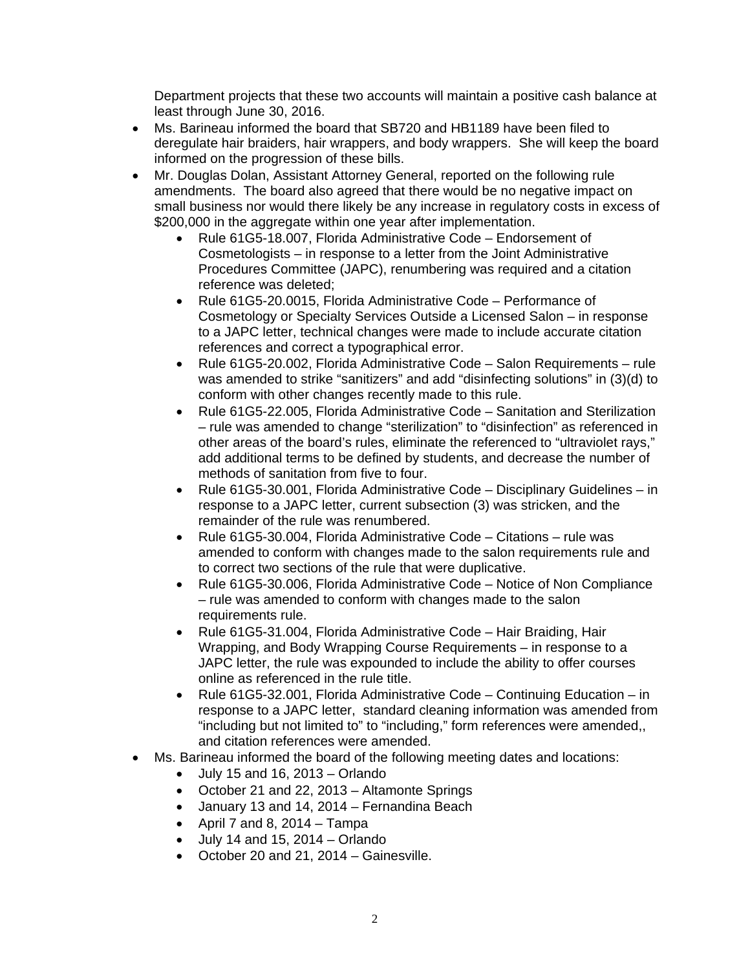Department projects that these two accounts will maintain a positive cash balance at least through June 30, 2016.

- Ms. Barineau informed the board that SB720 and HB1189 have been filed to deregulate hair braiders, hair wrappers, and body wrappers. She will keep the board informed on the progression of these bills.
- Mr. Douglas Dolan, Assistant Attorney General, reported on the following rule amendments. The board also agreed that there would be no negative impact on small business nor would there likely be any increase in regulatory costs in excess of \$200,000 in the aggregate within one year after implementation.
	- Rule 61G5-18.007, Florida Administrative Code Endorsement of Cosmetologists – in response to a letter from the Joint Administrative Procedures Committee (JAPC), renumbering was required and a citation reference was deleted;
	- Rule 61G5-20.0015, Florida Administrative Code Performance of Cosmetology or Specialty Services Outside a Licensed Salon – in response to a JAPC letter, technical changes were made to include accurate citation references and correct a typographical error.
	- Rule 61G5-20.002, Florida Administrative Code Salon Requirements rule was amended to strike "sanitizers" and add "disinfecting solutions" in (3)(d) to conform with other changes recently made to this rule.
	- Rule 61G5-22.005, Florida Administrative Code Sanitation and Sterilization – rule was amended to change "sterilization" to "disinfection" as referenced in other areas of the board's rules, eliminate the referenced to "ultraviolet rays," add additional terms to be defined by students, and decrease the number of methods of sanitation from five to four.
	- Rule 61G5-30.001, Florida Administrative Code Disciplinary Guidelines in response to a JAPC letter, current subsection (3) was stricken, and the remainder of the rule was renumbered.
	- Rule 61G5-30.004, Florida Administrative Code Citations rule was amended to conform with changes made to the salon requirements rule and to correct two sections of the rule that were duplicative.
	- Rule 61G5-30.006, Florida Administrative Code Notice of Non Compliance – rule was amended to conform with changes made to the salon requirements rule.
	- Rule 61G5-31.004, Florida Administrative Code Hair Braiding, Hair Wrapping, and Body Wrapping Course Requirements – in response to a JAPC letter, the rule was expounded to include the ability to offer courses online as referenced in the rule title.
	- Rule 61G5-32.001, Florida Administrative Code Continuing Education in response to a JAPC letter, standard cleaning information was amended from "including but not limited to" to "including," form references were amended,, and citation references were amended.
- Ms. Barineau informed the board of the following meeting dates and locations:
	- $\bullet$  July 15 and 16, 2013 Orlando
	- October 21 and 22, 2013 Altamonte Springs
	- January 13 and 14, 2014 Fernandina Beach
	- April 7 and 8, 2014 Tampa
	- July 14 and 15, 2014 Orlando
	- October 20 and 21, 2014 Gainesville.